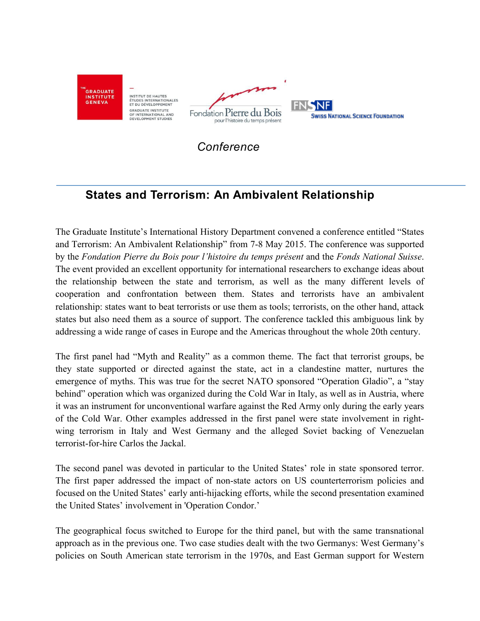

*Conference*

## **States and Terrorism: An Ambivalent Relationship**

The Graduate Institute's International History Department convened a conference entitled "States and Terrorism: An Ambivalent Relationship" from 7-8 May 2015. The conference was supported by the *Fondation Pierre du Bois pour l'histoire du temps présent* and the *Fonds National Suisse*. The event provided an excellent opportunity for international researchers to exchange ideas about the relationship between the state and terrorism, as well as the many different levels of cooperation and confrontation between them. States and terrorists have an ambivalent relationship: states want to beat terrorists or use them as tools; terrorists, on the other hand, attack states but also need them as a source of support. The conference tackled this ambiguous link by addressing a wide range of cases in Europe and the Americas throughout the whole 20th century.

The first panel had "Myth and Reality" as a common theme. The fact that terrorist groups, be they state supported or directed against the state, act in a clandestine matter, nurtures the emergence of myths. This was true for the secret NATO sponsored "Operation Gladio", a "stay behind" operation which was organized during the Cold War in Italy, as well as in Austria, where it was an instrument for unconventional warfare against the Red Army only during the early years of the Cold War. Other examples addressed in the first panel were state involvement in rightwing terrorism in Italy and West Germany and the alleged Soviet backing of Venezuelan terrorist-for-hire Carlos the Jackal.

The second panel was devoted in particular to the United States' role in state sponsored terror. The first paper addressed the impact of non-state actors on US counterterrorism policies and focused on the United States' early anti-hijacking efforts, while the second presentation examined the United States' involvement in 'Operation Condor.'

The geographical focus switched to Europe for the third panel, but with the same transnational approach as in the previous one. Two case studies dealt with the two Germanys: West Germany's policies on South American state terrorism in the 1970s, and East German support for Western